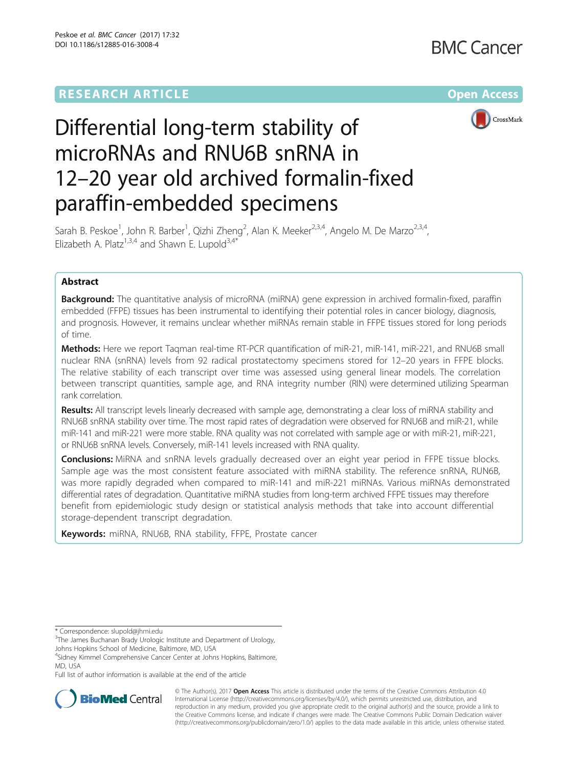# **RESEARCH ARTICLE Example 2014 12:30 The Company Access** (RESEARCH ARTICLE



# Differential long-term stability of microRNAs and RNU6B snRNA in 12–20 year old archived formalin-fixed paraffin-embedded specimens

Sarah B. Peskoe<sup>1</sup>, John R. Barber<sup>1</sup>, Qizhi Zheng<sup>2</sup>, Alan K. Meeker<sup>2,3,4</sup>, Angelo M. De Marzo<sup>2,3,4</sup>, Elizabeth A. Platz<sup>1,3,4</sup> and Shawn E. Lupold<sup>3,4\*</sup>

# Abstract

**Background:** The quantitative analysis of microRNA (miRNA) gene expression in archived formalin-fixed, paraffin embedded (FFPE) tissues has been instrumental to identifying their potential roles in cancer biology, diagnosis, and prognosis. However, it remains unclear whether miRNAs remain stable in FFPE tissues stored for long periods of time.

Methods: Here we report Taqman real-time RT-PCR quantification of miR-21, miR-141, miR-221, and RNU6B small nuclear RNA (snRNA) levels from 92 radical prostatectomy specimens stored for 12–20 years in FFPE blocks. The relative stability of each transcript over time was assessed using general linear models. The correlation between transcript quantities, sample age, and RNA integrity number (RIN) were determined utilizing Spearman rank correlation.

Results: All transcript levels linearly decreased with sample age, demonstrating a clear loss of miRNA stability and RNU6B snRNA stability over time. The most rapid rates of degradation were observed for RNU6B and miR-21, while miR-141 and miR-221 were more stable. RNA quality was not correlated with sample age or with miR-21, miR-221, or RNU6B snRNA levels. Conversely, miR-141 levels increased with RNA quality.

**Conclusions:** MiRNA and snRNA levels gradually decreased over an eight year period in FFPE tissue blocks. Sample age was the most consistent feature associated with miRNA stability. The reference snRNA, RUN6B, was more rapidly degraded when compared to miR-141 and miR-221 miRNAs. Various miRNAs demonstrated differential rates of degradation. Quantitative miRNA studies from long-term archived FFPE tissues may therefore benefit from epidemiologic study design or statistical analysis methods that take into account differential storage-dependent transcript degradation.

Keywords: miRNA, RNU6B, RNA stability, FFPE, Prostate cancer

Full list of author information is available at the end of the article



© The Author(s). 2017 **Open Access** This article is distributed under the terms of the Creative Commons Attribution 4.0 International License [\(http://creativecommons.org/licenses/by/4.0/](http://creativecommons.org/licenses/by/4.0/)), which permits unrestricted use, distribution, and reproduction in any medium, provided you give appropriate credit to the original author(s) and the source, provide a link to the Creative Commons license, and indicate if changes were made. The Creative Commons Public Domain Dedication waiver [\(http://creativecommons.org/publicdomain/zero/1.0/](http://creativecommons.org/publicdomain/zero/1.0/)) applies to the data made available in this article, unless otherwise stated.

<sup>\*</sup> Correspondence: [slupold@jhmi.edu](mailto:slupold@jhmi.edu) <sup>3</sup>

 $3$ The James Buchanan Brady Urologic Institute and Department of Urology, Johns Hopkins School of Medicine, Baltimore, MD, USA

<sup>4</sup> Sidney Kimmel Comprehensive Cancer Center at Johns Hopkins, Baltimore, MD, USA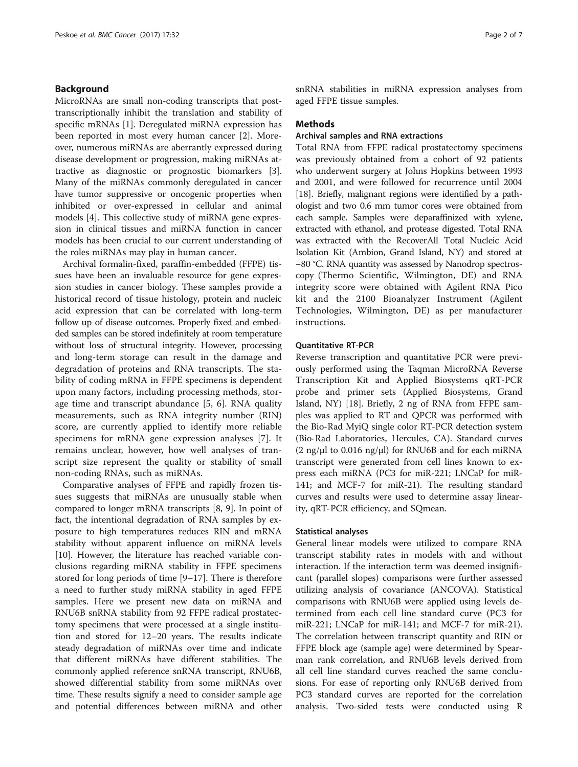# Background

MicroRNAs are small non-coding transcripts that posttranscriptionally inhibit the translation and stability of specific mRNAs [\[1](#page-6-0)]. Deregulated miRNA expression has been reported in most every human cancer [[2\]](#page-6-0). Moreover, numerous miRNAs are aberrantly expressed during disease development or progression, making miRNAs attractive as diagnostic or prognostic biomarkers [\[3](#page-6-0)]. Many of the miRNAs commonly deregulated in cancer have tumor suppressive or oncogenic properties when inhibited or over-expressed in cellular and animal models [\[4](#page-6-0)]. This collective study of miRNA gene expression in clinical tissues and miRNA function in cancer models has been crucial to our current understanding of the roles miRNAs may play in human cancer.

Archival formalin-fixed, paraffin-embedded (FFPE) tissues have been an invaluable resource for gene expression studies in cancer biology. These samples provide a historical record of tissue histology, protein and nucleic acid expression that can be correlated with long-term follow up of disease outcomes. Properly fixed and embedded samples can be stored indefinitely at room temperature without loss of structural integrity. However, processing and long-term storage can result in the damage and degradation of proteins and RNA transcripts. The stability of coding mRNA in FFPE specimens is dependent upon many factors, including processing methods, storage time and transcript abundance [\[5](#page-6-0), [6](#page-6-0)]. RNA quality measurements, such as RNA integrity number (RIN) score, are currently applied to identify more reliable specimens for mRNA gene expression analyses [[7\]](#page-6-0). It remains unclear, however, how well analyses of transcript size represent the quality or stability of small non-coding RNAs, such as miRNAs.

Comparative analyses of FFPE and rapidly frozen tissues suggests that miRNAs are unusually stable when compared to longer mRNA transcripts [\[8](#page-6-0), [9\]](#page-6-0). In point of fact, the intentional degradation of RNA samples by exposure to high temperatures reduces RIN and mRNA stability without apparent influence on miRNA levels [[10\]](#page-6-0). However, the literature has reached variable conclusions regarding miRNA stability in FFPE specimens stored for long periods of time [\[9](#page-6-0)–[17\]](#page-6-0). There is therefore a need to further study miRNA stability in aged FFPE samples. Here we present new data on miRNA and RNU6B snRNA stability from 92 FFPE radical prostatectomy specimens that were processed at a single institution and stored for 12–20 years. The results indicate steady degradation of miRNAs over time and indicate that different miRNAs have different stabilities. The commonly applied reference snRNA transcript, RNU6B, showed differential stability from some miRNAs over time. These results signify a need to consider sample age and potential differences between miRNA and other snRNA stabilities in miRNA expression analyses from aged FFPE tissue samples.

# Methods

# Archival samples and RNA extractions

Total RNA from FFPE radical prostatectomy specimens was previously obtained from a cohort of 92 patients who underwent surgery at Johns Hopkins between 1993 and 2001, and were followed for recurrence until 2004 [[18\]](#page-6-0). Briefly, malignant regions were identified by a pathologist and two 0.6 mm tumor cores were obtained from each sample. Samples were deparaffinized with xylene, extracted with ethanol, and protease digested. Total RNA was extracted with the RecoverAll Total Nucleic Acid Isolation Kit (Ambion, Grand Island, NY) and stored at −80 °C. RNA quantity was assessed by Nanodrop spectroscopy (Thermo Scientific, Wilmington, DE) and RNA integrity score were obtained with Agilent RNA Pico kit and the 2100 Bioanalyzer Instrument (Agilent Technologies, Wilmington, DE) as per manufacturer instructions.

# Quantitative RT-PCR

Reverse transcription and quantitative PCR were previously performed using the Taqman MicroRNA Reverse Transcription Kit and Applied Biosystems qRT-PCR probe and primer sets (Applied Biosystems, Grand Island, NY) [\[18](#page-6-0)]. Briefly, 2 ng of RNA from FFPE samples was applied to RT and QPCR was performed with the Bio-Rad MyiQ single color RT-PCR detection system (Bio-Rad Laboratories, Hercules, CA). Standard curves  $(2 \text{ ng/µl}$  to 0.016 ng/ $\mu$ l) for RNU6B and for each miRNA transcript were generated from cell lines known to express each miRNA (PC3 for miR-221; LNCaP for miR-141; and MCF-7 for miR-21). The resulting standard curves and results were used to determine assay linearity, qRT-PCR efficiency, and SQmean.

# Statistical analyses

General linear models were utilized to compare RNA transcript stability rates in models with and without interaction. If the interaction term was deemed insignificant (parallel slopes) comparisons were further assessed utilizing analysis of covariance (ANCOVA). Statistical comparisons with RNU6B were applied using levels determined from each cell line standard curve (PC3 for miR-221; LNCaP for miR-141; and MCF-7 for miR-21). The correlation between transcript quantity and RIN or FFPE block age (sample age) were determined by Spearman rank correlation, and RNU6B levels derived from all cell line standard curves reached the same conclusions. For ease of reporting only RNU6B derived from PC3 standard curves are reported for the correlation analysis. Two-sided tests were conducted using R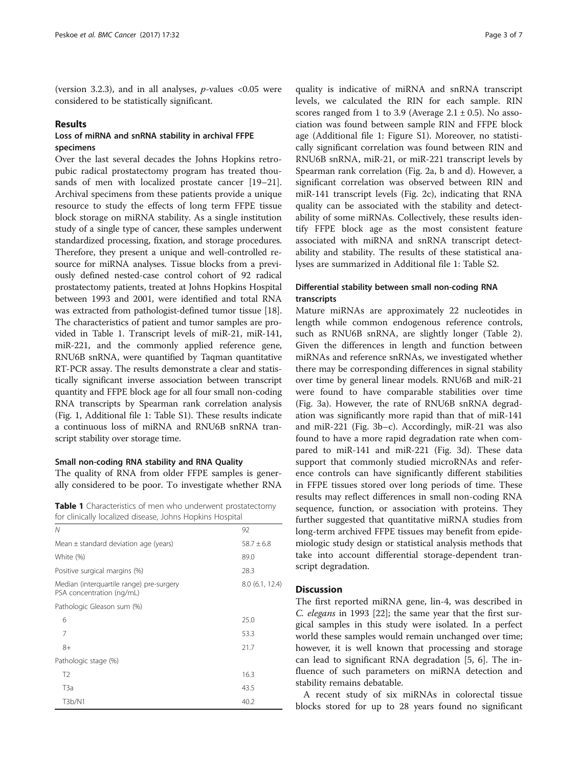(version 3.2.3), and in all analyses,  $p$ -values <0.05 were considered to be statistically significant.

# Results

# Loss of miRNA and snRNA stability in archival FFPE specimens

Over the last several decades the Johns Hopkins retropubic radical prostatectomy program has treated thousands of men with localized prostate cancer [[19](#page-6-0)–[21](#page-6-0)]. Archival specimens from these patients provide a unique resource to study the effects of long term FFPE tissue block storage on miRNA stability. As a single institution study of a single type of cancer, these samples underwent standardized processing, fixation, and storage procedures. Therefore, they present a unique and well-controlled resource for miRNA analyses. Tissue blocks from a previously defined nested-case control cohort of 92 radical prostatectomy patients, treated at Johns Hopkins Hospital between 1993 and 2001, were identified and total RNA was extracted from pathologist-defined tumor tissue [[18](#page-6-0)]. The characteristics of patient and tumor samples are provided in Table 1. Transcript levels of miR-21, miR-141, miR-221, and the commonly applied reference gene, RNU6B snRNA, were quantified by Taqman quantitative RT-PCR assay. The results demonstrate a clear and statistically significant inverse association between transcript quantity and FFPE block age for all four small non-coding RNA transcripts by Spearman rank correlation analysis (Fig. [1](#page-3-0), Additional file [1](#page-5-0): Table S1). These results indicate a continuous loss of miRNA and RNU6B snRNA transcript stability over storage time.

# Small non-coding RNA stability and RNA Quality

The quality of RNA from older FFPE samples is generally considered to be poor. To investigate whether RNA

Table 1 Characteristics of men who underwent prostatectomy for clinically localized disease, Johns Hopkins Hospital

| Ν                                                                     | 92              |
|-----------------------------------------------------------------------|-----------------|
| Mean $\pm$ standard deviation age (years)                             | $58.7 \pm 6.8$  |
| White (%)                                                             | 89.0            |
| Positive surgical margins (%)                                         | 28.3            |
| Median (interquartile range) pre-surgery<br>PSA concentration (ng/mL) | 8.0 (6.1, 12.4) |
| Pathologic Gleason sum (%)                                            |                 |
| 6                                                                     | 25.0            |
| 7                                                                     | 53.3            |
| $8+$                                                                  | 21.7            |
| Pathologic stage (%)                                                  |                 |
| T <sub>2</sub>                                                        | 16.3            |
| T <sub>3</sub> a                                                      | 43.5            |
| T3b/N1                                                                | 40.2            |

quality is indicative of miRNA and snRNA transcript levels, we calculated the RIN for each sample. RIN scores ranged from 1 to 3.9 (Average  $2.1 \pm 0.5$ ). No association was found between sample RIN and FFPE block age (Additional file [1:](#page-5-0) Figure S1). Moreover, no statistically significant correlation was found between RIN and RNU6B snRNA, miR-21, or miR-221 transcript levels by Spearman rank correlation (Fig. [2a, b](#page-4-0) and [d\)](#page-4-0). However, a significant correlation was observed between RIN and miR-141 transcript levels (Fig. [2c](#page-4-0)), indicating that RNA quality can be associated with the stability and detectability of some miRNAs. Collectively, these results identify FFPE block age as the most consistent feature associated with miRNA and snRNA transcript detectability and stability. The results of these statistical analyses are summarized in Additional file [1](#page-5-0): Table S2.

# Differential stability between small non-coding RNA transcripts

Mature miRNAs are approximately 22 nucleotides in length while common endogenous reference controls, such as RNU6B snRNA, are slightly longer (Table [2](#page-4-0)). Given the differences in length and function between miRNAs and reference snRNAs, we investigated whether there may be corresponding differences in signal stability over time by general linear models. RNU6B and miR-21 were found to have comparable stabilities over time (Fig. [3a](#page-5-0)). However, the rate of RNU6B snRNA degradation was significantly more rapid than that of miR-141 and miR-221 (Fig. [3b](#page-5-0)–[c\)](#page-5-0). Accordingly, miR-21 was also found to have a more rapid degradation rate when compared to miR-141 and miR-221 (Fig. [3d\)](#page-5-0). These data support that commonly studied microRNAs and reference controls can have significantly different stabilities in FFPE tissues stored over long periods of time. These results may reflect differences in small non-coding RNA sequence, function, or association with proteins. They further suggested that quantitative miRNA studies from long-term archived FFPE tissues may benefit from epidemiologic study design or statistical analysis methods that take into account differential storage-dependent transcript degradation.

# **Discussion**

The first reported miRNA gene, lin-4, was described in C. elegans in 1993 [\[22](#page-6-0)]; the same year that the first surgical samples in this study were isolated. In a perfect world these samples would remain unchanged over time; however, it is well known that processing and storage can lead to significant RNA degradation [[5](#page-6-0), [6\]](#page-6-0). The influence of such parameters on miRNA detection and stability remains debatable.

A recent study of six miRNAs in colorectal tissue blocks stored for up to 28 years found no significant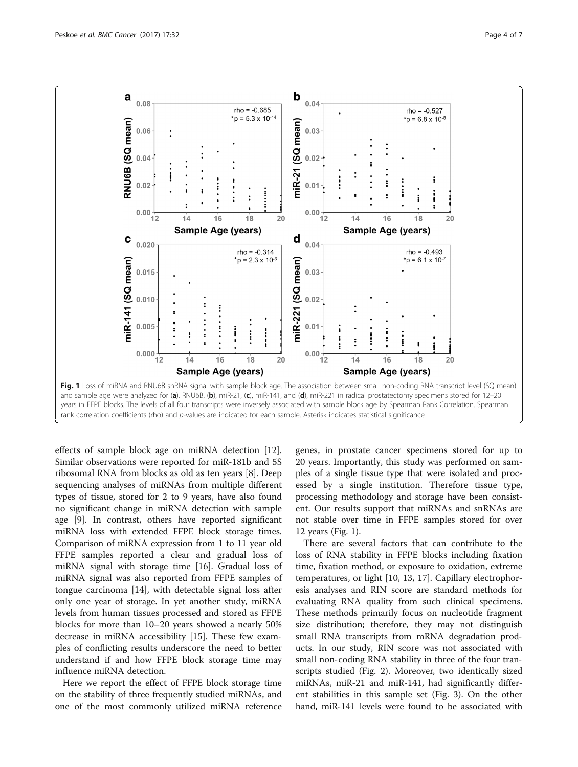<span id="page-3-0"></span>

effects of sample block age on miRNA detection [\[12](#page-6-0)]. Similar observations were reported for miR-181b and 5S ribosomal RNA from blocks as old as ten years [\[8](#page-6-0)]. Deep sequencing analyses of miRNAs from multiple different types of tissue, stored for 2 to 9 years, have also found no significant change in miRNA detection with sample age [\[9](#page-6-0)]. In contrast, others have reported significant miRNA loss with extended FFPE block storage times. Comparison of miRNA expression from 1 to 11 year old FFPE samples reported a clear and gradual loss of miRNA signal with storage time [[16](#page-6-0)]. Gradual loss of miRNA signal was also reported from FFPE samples of tongue carcinoma [[14\]](#page-6-0), with detectable signal loss after only one year of storage. In yet another study, miRNA levels from human tissues processed and stored as FFPE blocks for more than 10–20 years showed a nearly 50% decrease in miRNA accessibility [[15\]](#page-6-0). These few examples of conflicting results underscore the need to better understand if and how FFPE block storage time may influence miRNA detection.

Here we report the effect of FFPE block storage time on the stability of three frequently studied miRNAs, and one of the most commonly utilized miRNA reference

genes, in prostate cancer specimens stored for up to 20 years. Importantly, this study was performed on samples of a single tissue type that were isolated and processed by a single institution. Therefore tissue type, processing methodology and storage have been consistent. Our results support that miRNAs and snRNAs are not stable over time in FFPE samples stored for over 12 years (Fig. 1).

There are several factors that can contribute to the loss of RNA stability in FFPE blocks including fixation time, fixation method, or exposure to oxidation, extreme temperatures, or light [\[10](#page-6-0), [13](#page-6-0), [17](#page-6-0)]. Capillary electrophoresis analyses and RIN score are standard methods for evaluating RNA quality from such clinical specimens. These methods primarily focus on nucleotide fragment size distribution; therefore, they may not distinguish small RNA transcripts from mRNA degradation products. In our study, RIN score was not associated with small non-coding RNA stability in three of the four transcripts studied (Fig. [2](#page-4-0)). Moreover, two identically sized miRNAs, miR-21 and miR-141, had significantly different stabilities in this sample set (Fig. [3](#page-5-0)). On the other hand, miR-141 levels were found to be associated with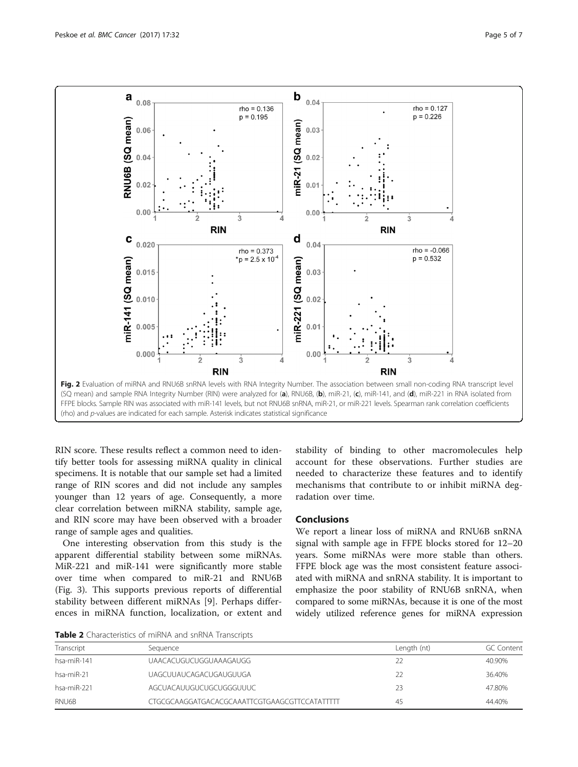<span id="page-4-0"></span>

RIN score. These results reflect a common need to identify better tools for assessing miRNA quality in clinical specimens. It is notable that our sample set had a limited range of RIN scores and did not include any samples younger than 12 years of age. Consequently, a more clear correlation between miRNA stability, sample age, and RIN score may have been observed with a broader range of sample ages and qualities.

One interesting observation from this study is the apparent differential stability between some miRNAs. MiR-221 and miR-141 were significantly more stable over time when compared to miR-21 and RNU6B (Fig. [3\)](#page-5-0). This supports previous reports of differential stability between different miRNAs [[9\]](#page-6-0). Perhaps differences in miRNA function, localization, or extent and stability of binding to other macromolecules help account for these observations. Further studies are needed to characterize these features and to identify mechanisms that contribute to or inhibit miRNA degradation over time.

# Conclusions

We report a linear loss of miRNA and RNU6B snRNA signal with sample age in FFPE blocks stored for 12–20 years. Some miRNAs were more stable than others. FFPE block age was the most consistent feature associated with miRNA and snRNA stability. It is important to emphasize the poor stability of RNU6B snRNA, when compared to some miRNAs, because it is one of the most widely utilized reference genes for miRNA expression

Table 2 Characteristics of miRNA and snRNA Transcripts

| Transcript  | Seauence                                     | Length (nt) | <b>GC Content</b> |
|-------------|----------------------------------------------|-------------|-------------------|
| hsa-miR-141 | UAACACUGUCUGGUAAAGAUGG                       |             | 40.90%            |
| hsa-miR-21  | UAGCUUAUCAGACUGAUGUUGA                       |             | 36.40%            |
| hsa-miR-221 | AGCUACAUUGUCUGCUGGGUUUC                      | 23          | 47.80%            |
| RNU6B       | CTGCGCAAGGATGACACGCAAATTCGTGAAGCGTTCCATATTTT | 45          | 44.40%            |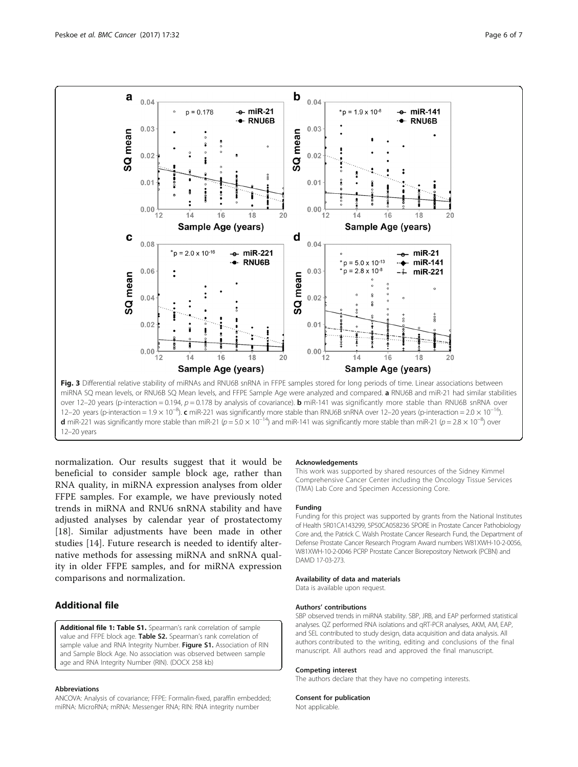<span id="page-5-0"></span>

12–20 years (p-interaction = 1.9 × 10<sup>-8</sup>). c miR-221 was significantly more stable than RNU6B snRNA over 12–20 years (p-interaction = 2.0 × 10<sup>-16</sup>) **d** miR-221 was significantly more stable than miR-21 (p = 5.0 × 10<sup>-14</sup>) and miR-141 was significantly more stable than miR-21 (p = 2.8 × 10<sup>-8</sup>) over 12–20 years

normalization. Our results suggest that it would be beneficial to consider sample block age, rather than RNA quality, in miRNA expression analyses from older FFPE samples. For example, we have previously noted trends in miRNA and RNU6 snRNA stability and have adjusted analyses by calendar year of prostatectomy [[18\]](#page-6-0). Similar adjustments have been made in other studies [[14](#page-6-0)]. Future research is needed to identify alternative methods for assessing miRNA and snRNA quality in older FFPE samples, and for miRNA expression comparisons and normalization.

# Additional file

[Additional file 1: Table S1.](dx.doi.org/10.1186/s12885-016-3008-4) Spearman's rank correlation of sample value and FFPE block age. Table S2. Spearman's rank correlation of sample value and RNA Integrity Number. Figure S1. Association of RIN and Sample Block Age. No association was observed between sample age and RNA Integrity Number (RIN). (DOCX 258 kb)

#### Abbreviations

ANCOVA: Analysis of covariance; FFPE: Formalin-fixed, paraffin embedded; miRNA: MicroRNA; mRNA: Messenger RNA; RIN: RNA integrity number

#### Acknowledgements

This work was supported by shared resources of the Sidney Kimmel Comprehensive Cancer Center including the Oncology Tissue Services (TMA) Lab Core and Specimen Accessioning Core.

#### Funding

Funding for this project was supported by grants from the National Institutes of Health 5R01CA143299, 5P50CA058236 SPORE in Prostate Cancer Pathobiology Core and, the Patrick C. Walsh Prostate Cancer Research Fund, the Department of Defense Prostate Cancer Research Program Award numbers W81XWH-10-2-0056, W81XWH-10-2-0046 PCRP Prostate Cancer Biorepository Network (PCBN) and DAMD 17-03-273.

# Availability of data and materials

Data is available upon request.

#### Authors' contributions

SBP observed trends in miRNA stability. SBP, JRB, and EAP performed statistical analyses. QZ performed RNA isolations and qRT-PCR analyses, AKM, AM, EAP, and SEL contributed to study design, data acquisition and data analysis. All authors contributed to the writing, editing and conclusions of the final manuscript. All authors read and approved the final manuscript.

#### Competing interest

The authors declare that they have no competing interests.

#### Consent for publication

Not applicable.